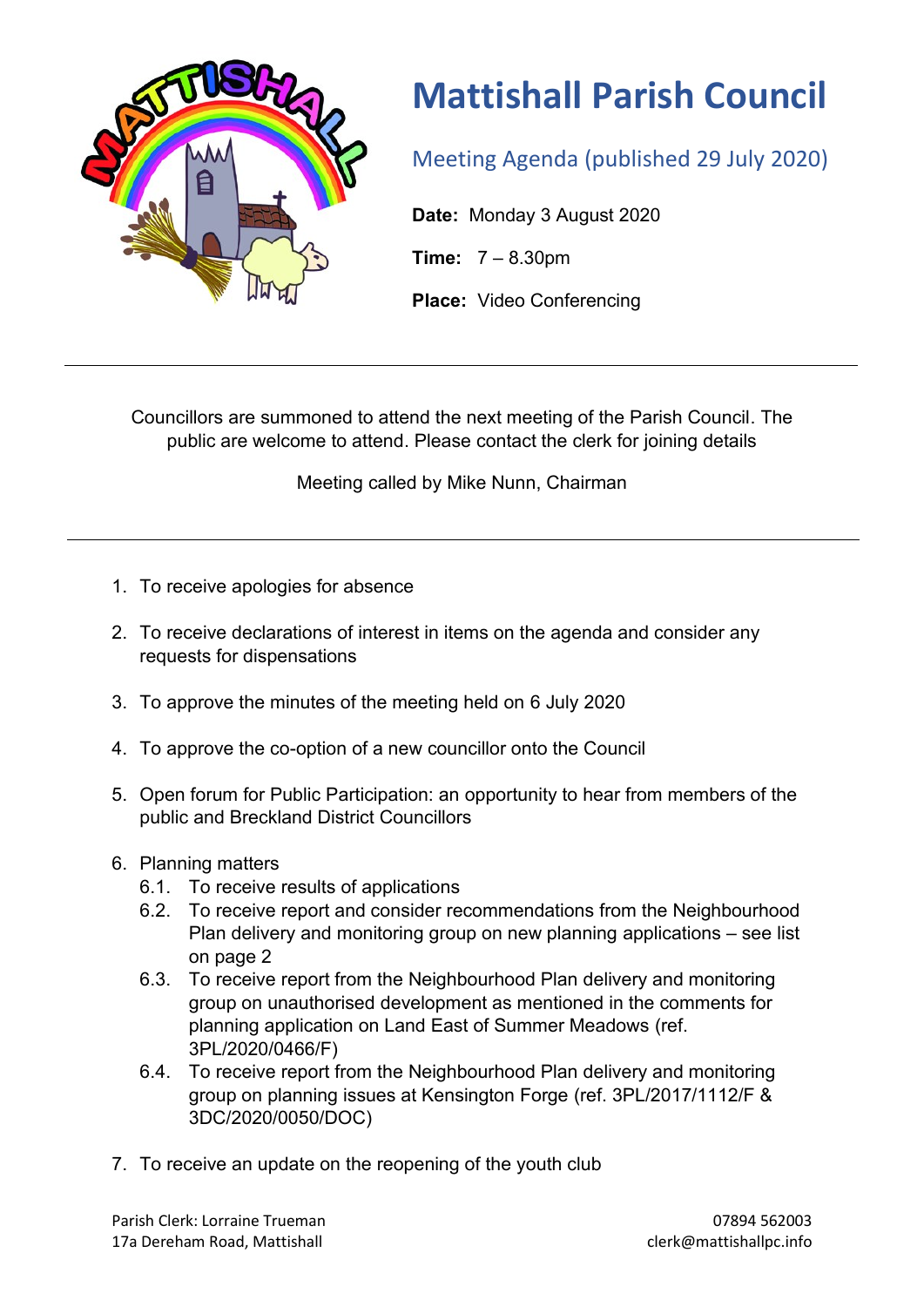

## **Mattishall Parish Council**

Meeting Agenda (published 29 July 2020)

**Date:** Monday 3 August 2020

**Time:** 7 – 8.30pm

**Place:** Video Conferencing

Councillors are summoned to attend the next meeting of the Parish Council. The public are welcome to attend. Please contact the clerk for joining details

Meeting called by Mike Nunn, Chairman

- 1. To receive apologies for absence
- 2. To receive declarations of interest in items on the agenda and consider any requests for dispensations
- 3. To approve the minutes of the meeting held on 6 July 2020
- 4. To approve the co-option of a new councillor onto the Council
- 5. Open forum for Public Participation: an opportunity to hear from members of the public and Breckland District Councillors
- 6. Planning matters
	- 6.1. To receive results of applications
	- 6.2. To receive report and consider recommendations from the Neighbourhood Plan delivery and monitoring group on new planning applications – see list on page 2
	- 6.3. To receive report from the Neighbourhood Plan delivery and monitoring group on unauthorised development as mentioned in the comments for planning application on Land East of Summer Meadows (ref. 3PL/2020/0466/F)
	- 6.4. To receive report from the Neighbourhood Plan delivery and monitoring group on planning issues at Kensington Forge (ref. 3PL/2017/1112/F & 3DC/2020/0050/DOC)
- 7. To receive an update on the reopening of the youth club